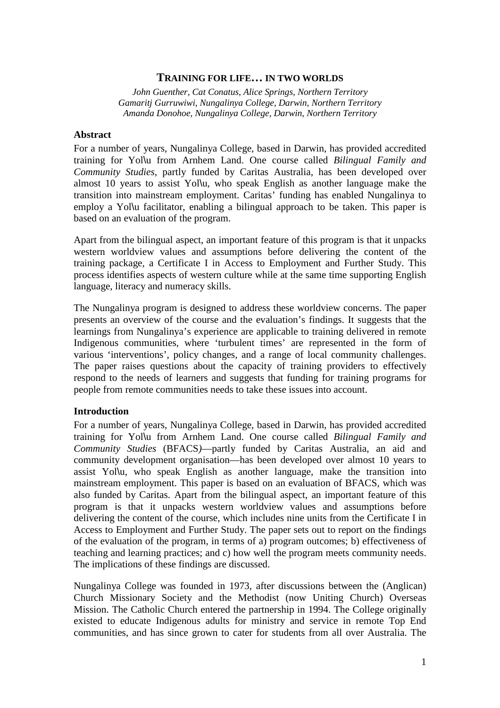### **TRAINING FOR LIFE… IN TWO WORLDS**

*John Guenther, Cat Conatus, Alice Springs, Northern Territory Gamaritj Gurruwiwi, Nungalinya College, Darwin, Northern Territory Amanda Donohoe, Nungalinya College, Darwin, Northern Territory* 

### **Abstract**

For a number of years, Nungalinya College, based in Darwin, has provided accredited training for Yol\u from Arnhem Land. One course called *Bilingual Family and Community Studies*, partly funded by Caritas Australia, has been developed over almost 10 years to assist Yol\u, who speak English as another language make the transition into mainstream employment. Caritas' funding has enabled Nungalinya to employ a Yol\u facilitator, enabling a bilingual approach to be taken. This paper is based on an evaluation of the program.

Apart from the bilingual aspect, an important feature of this program is that it unpacks western worldview values and assumptions before delivering the content of the training package, a Certificate I in Access to Employment and Further Study. This process identifies aspects of western culture while at the same time supporting English language, literacy and numeracy skills.

The Nungalinya program is designed to address these worldview concerns. The paper presents an overview of the course and the evaluation's findings. It suggests that the learnings from Nungalinya's experience are applicable to training delivered in remote Indigenous communities, where 'turbulent times' are represented in the form of various 'interventions', policy changes, and a range of local community challenges. The paper raises questions about the capacity of training providers to effectively respond to the needs of learners and suggests that funding for training programs for people from remote communities needs to take these issues into account.

## **Introduction**

For a number of years, Nungalinya College, based in Darwin, has provided accredited training for Yol\u from Arnhem Land. One course called *Bilingual Family and Community Studies* (BFACS*)*—partly funded by Caritas Australia, an aid and community development organisation—has been developed over almost 10 years to assist Yol\u, who speak English as another language, make the transition into mainstream employment. This paper is based on an evaluation of BFACS, which was also funded by Caritas. Apart from the bilingual aspect, an important feature of this program is that it unpacks western worldview values and assumptions before delivering the content of the course, which includes nine units from the Certificate I in Access to Employment and Further Study. The paper sets out to report on the findings of the evaluation of the program, in terms of a) program outcomes; b) effectiveness of teaching and learning practices; and c) how well the program meets community needs. The implications of these findings are discussed.

Nungalinya College was founded in 1973, after discussions between the (Anglican) Church Missionary Society and the Methodist (now Uniting Church) Overseas Mission. The Catholic Church entered the partnership in 1994. The College originally existed to educate Indigenous adults for ministry and service in remote Top End communities, and has since grown to cater for students from all over Australia. The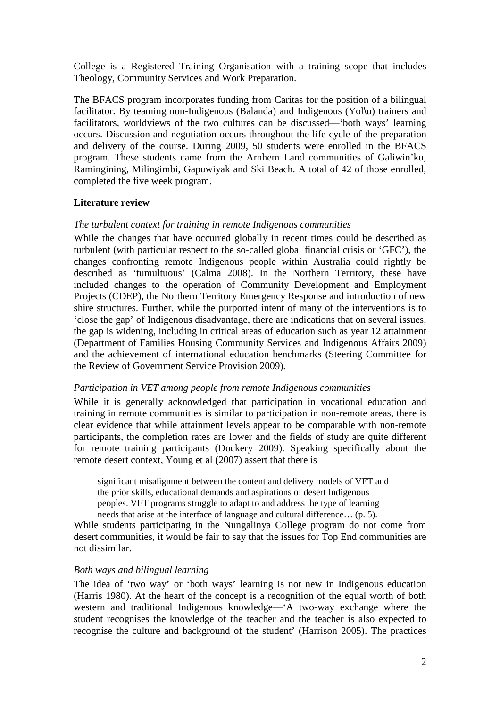College is a Registered Training Organisation with a training scope that includes Theology, Community Services and Work Preparation.

The BFACS program incorporates funding from Caritas for the position of a bilingual facilitator. By teaming non-Indigenous (Balanda) and Indigenous (Yol\u) trainers and facilitators, worldviews of the two cultures can be discussed—'both ways' learning occurs. Discussion and negotiation occurs throughout the life cycle of the preparation and delivery of the course. During 2009, 50 students were enrolled in the BFACS program. These students came from the Arnhem Land communities of Galiwin'ku, Ramingining, Milingimbi, Gapuwiyak and Ski Beach. A total of 42 of those enrolled, completed the five week program.

## **Literature review**

## *The turbulent context for training in remote Indigenous communities*

While the changes that have occurred globally in recent times could be described as turbulent (with particular respect to the so-called global financial crisis or 'GFC'), the changes confronting remote Indigenous people within Australia could rightly be described as 'tumultuous' (Calma 2008). In the Northern Territory, these have included changes to the operation of Community Development and Employment Projects (CDEP), the Northern Territory Emergency Response and introduction of new shire structures. Further, while the purported intent of many of the interventions is to 'close the gap' of Indigenous disadvantage, there are indications that on several issues, the gap is widening, including in critical areas of education such as year 12 attainment (Department of Families Housing Community Services and Indigenous Affairs 2009) and the achievement of international education benchmarks (Steering Committee for the Review of Government Service Provision 2009).

## *Participation in VET among people from remote Indigenous communities*

While it is generally acknowledged that participation in vocational education and training in remote communities is similar to participation in non-remote areas, there is clear evidence that while attainment levels appear to be comparable with non-remote participants, the completion rates are lower and the fields of study are quite different for remote training participants (Dockery 2009). Speaking specifically about the remote desert context, Young et al (2007) assert that there is

significant misalignment between the content and delivery models of VET and the prior skills, educational demands and aspirations of desert Indigenous peoples. VET programs struggle to adapt to and address the type of learning needs that arise at the interface of language and cultural difference… (p. 5).

While students participating in the Nungalinya College program do not come from desert communities, it would be fair to say that the issues for Top End communities are not dissimilar.

## *Both ways and bilingual learning*

The idea of 'two way' or 'both ways' learning is not new in Indigenous education (Harris 1980). At the heart of the concept is a recognition of the equal worth of both western and traditional Indigenous knowledge—'A two-way exchange where the student recognises the knowledge of the teacher and the teacher is also expected to recognise the culture and background of the student' (Harrison 2005). The practices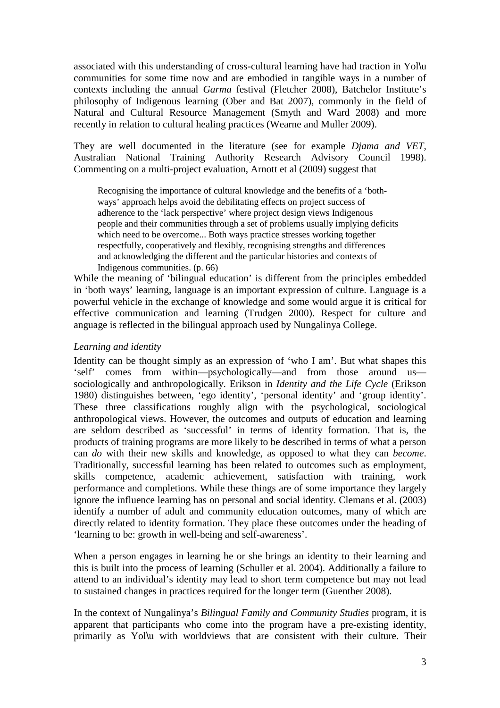associated with this understanding of cross-cultural learning have had traction in Yol\u communities for some time now and are embodied in tangible ways in a number of contexts including the annual *Garma* festival (Fletcher 2008), Batchelor Institute's philosophy of Indigenous learning (Ober and Bat 2007), commonly in the field of Natural and Cultural Resource Management (Smyth and Ward 2008) and more recently in relation to cultural healing practices (Wearne and Muller 2009).

They are well documented in the literature (see for example *Djama and VET,*  Australian National Training Authority Research Advisory Council 1998). Commenting on a multi-project evaluation, Arnott et al (2009) suggest that

Recognising the importance of cultural knowledge and the benefits of a 'bothways' approach helps avoid the debilitating effects on project success of adherence to the 'lack perspective' where project design views Indigenous people and their communities through a set of problems usually implying deficits which need to be overcome... Both ways practice stresses working together respectfully, cooperatively and flexibly, recognising strengths and differences and acknowledging the different and the particular histories and contexts of Indigenous communities. (p. 66)

While the meaning of 'bilingual education' is different from the principles embedded in 'both ways' learning, language is an important expression of culture. Language is a powerful vehicle in the exchange of knowledge and some would argue it is critical for effective communication and learning (Trudgen 2000). Respect for culture and anguage is reflected in the bilingual approach used by Nungalinya College.

## *Learning and identity*

Identity can be thought simply as an expression of 'who I am'. But what shapes this 'self' comes from within—psychologically—and from those around us sociologically and anthropologically. Erikson in *Identity and the Life Cycle* (Erikson 1980) distinguishes between, 'ego identity', 'personal identity' and 'group identity'. These three classifications roughly align with the psychological, sociological anthropological views. However, the outcomes and outputs of education and learning are seldom described as 'successful' in terms of identity formation. That is, the products of training programs are more likely to be described in terms of what a person can *do* with their new skills and knowledge, as opposed to what they can *become*. Traditionally, successful learning has been related to outcomes such as employment, skills competence, academic achievement, satisfaction with training, work performance and completions. While these things are of some importance they largely ignore the influence learning has on personal and social identity. Clemans et al. (2003) identify a number of adult and community education outcomes, many of which are directly related to identity formation. They place these outcomes under the heading of 'learning to be: growth in well-being and self-awareness'.

When a person engages in learning he or she brings an identity to their learning and this is built into the process of learning (Schuller et al. 2004). Additionally a failure to attend to an individual's identity may lead to short term competence but may not lead to sustained changes in practices required for the longer term (Guenther 2008).

In the context of Nungalinya's *Bilingual Family and Community Studies* program, it is apparent that participants who come into the program have a pre-existing identity, primarily as Yol\u with worldviews that are consistent with their culture. Their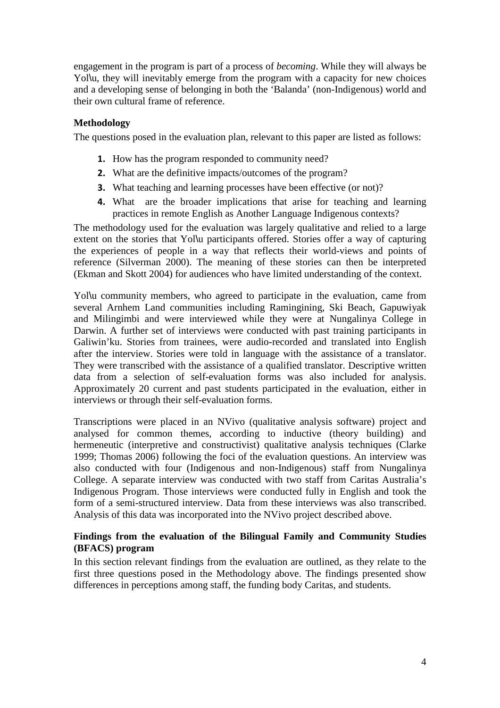engagement in the program is part of a process of *becoming*. While they will always be Yollu, they will inevitably emerge from the program with a capacity for new choices and a developing sense of belonging in both the 'Balanda' (non-Indigenous) world and their own cultural frame of reference.

# **Methodology**

The questions posed in the evaluation plan, relevant to this paper are listed as follows:

- 1. How has the program responded to community need?
- 2. What are the definitive impacts/outcomes of the program?
- **3.** What teaching and learning processes have been effective (or not)?
- 4. What are the broader implications that arise for teaching and learning practices in remote English as Another Language Indigenous contexts?

The methodology used for the evaluation was largely qualitative and relied to a large extent on the stories that Yol\u participants offered. Stories offer a way of capturing the experiences of people in a way that reflects their world-views and points of reference (Silverman 2000). The meaning of these stories can then be interpreted (Ekman and Skott 2004) for audiences who have limited understanding of the context.

Yol\u community members, who agreed to participate in the evaluation, came from several Arnhem Land communities including Ramingining, Ski Beach, Gapuwiyak and Milingimbi and were interviewed while they were at Nungalinya College in Darwin. A further set of interviews were conducted with past training participants in Galiwin'ku. Stories from trainees, were audio-recorded and translated into English after the interview. Stories were told in language with the assistance of a translator. They were transcribed with the assistance of a qualified translator. Descriptive written data from a selection of self-evaluation forms was also included for analysis. Approximately 20 current and past students participated in the evaluation, either in interviews or through their self-evaluation forms.

Transcriptions were placed in an NVivo (qualitative analysis software) project and analysed for common themes, according to inductive (theory building) and hermeneutic (interpretive and constructivist) qualitative analysis techniques (Clarke 1999; Thomas 2006) following the foci of the evaluation questions. An interview was also conducted with four (Indigenous and non-Indigenous) staff from Nungalinya College. A separate interview was conducted with two staff from Caritas Australia's Indigenous Program. Those interviews were conducted fully in English and took the form of a semi-structured interview. Data from these interviews was also transcribed. Analysis of this data was incorporated into the NVivo project described above.

# **Findings from the evaluation of the Bilingual Family and Community Studies (BFACS) program**

In this section relevant findings from the evaluation are outlined, as they relate to the first three questions posed in the Methodology above. The findings presented show differences in perceptions among staff, the funding body Caritas, and students.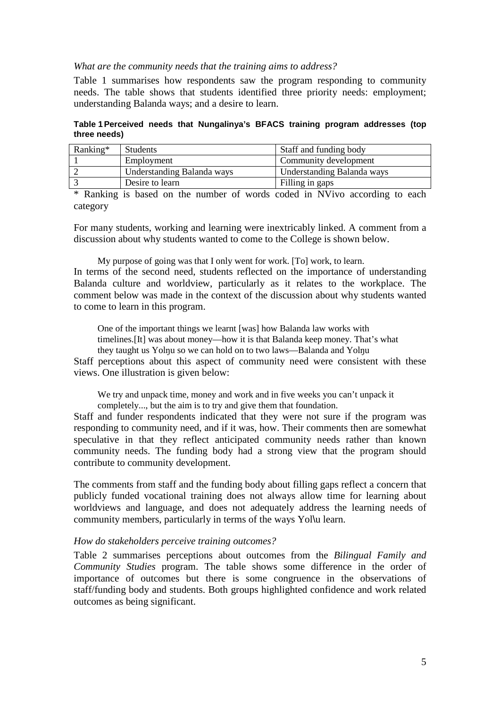#### *What are the community needs that the training aims to address?*

Table 1 summarises how respondents saw the program responding to community needs. The table shows that students identified three priority needs: employment; understanding Balanda ways; and a desire to learn.

**Table 1 Perceived needs that Nungalinya's BFACS training program addresses (top three needs)** 

| Ranking* | <b>Students</b>            | Staff and funding body     |
|----------|----------------------------|----------------------------|
|          | Employment                 | Community development      |
|          | Understanding Balanda ways | Understanding Balanda ways |
|          | Desire to learn            | Filling in gaps            |

\* Ranking is based on the number of words coded in NVivo according to each category

For many students, working and learning were inextricably linked. A comment from a discussion about why students wanted to come to the College is shown below.

My purpose of going was that I only went for work. [To] work, to learn.

In terms of the second need, students reflected on the importance of understanding Balanda culture and worldview, particularly as it relates to the workplace. The comment below was made in the context of the discussion about why students wanted to come to learn in this program.

One of the important things we learnt [was] how Balanda law works with

timelines.[It] was about money—how it is that Balanda keep money. That's what

they taught us Yolnu so we can hold on to two laws—Balanda and Yolnu

Staff perceptions about this aspect of community need were consistent with these views. One illustration is given below:

We try and unpack time, money and work and in five weeks you can't unpack it

completely..., but the aim is to try and give them that foundation.

Staff and funder respondents indicated that they were not sure if the program was responding to community need, and if it was, how. Their comments then are somewhat speculative in that they reflect anticipated community needs rather than known community needs. The funding body had a strong view that the program should contribute to community development.

The comments from staff and the funding body about filling gaps reflect a concern that publicly funded vocational training does not always allow time for learning about worldviews and language, and does not adequately address the learning needs of community members, particularly in terms of the ways Yol\u learn.

#### *How do stakeholders perceive training outcomes?*

Table 2 summarises perceptions about outcomes from the *Bilingual Family and Community Studies* program. The table shows some difference in the order of importance of outcomes but there is some congruence in the observations of staff/funding body and students. Both groups highlighted confidence and work related outcomes as being significant.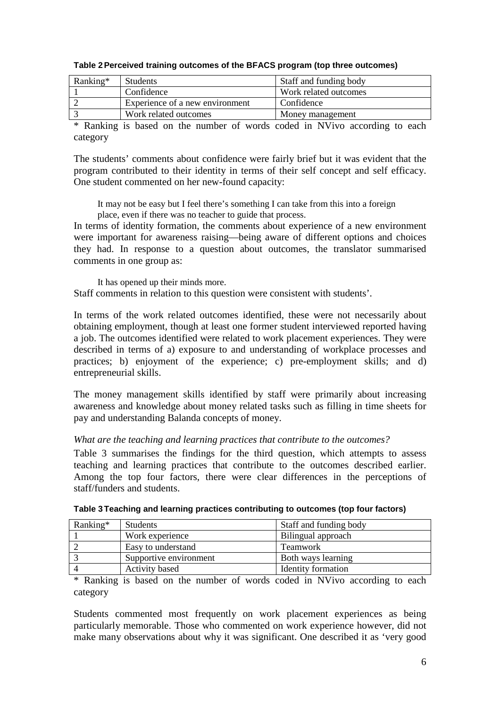| $Ranking*$ | <b>Students</b>                 | Staff and funding body |
|------------|---------------------------------|------------------------|
|            | Confidence                      | Work related outcomes  |
|            | Experience of a new environment | Confidence             |
|            | Work related outcomes           | Money management       |

### **Table 2 Perceived training outcomes of the BFACS program (top three outcomes)**

\* Ranking is based on the number of words coded in NVivo according to each category

The students' comments about confidence were fairly brief but it was evident that the program contributed to their identity in terms of their self concept and self efficacy. One student commented on her new-found capacity:

It may not be easy but I feel there's something I can take from this into a foreign place, even if there was no teacher to guide that process.

In terms of identity formation, the comments about experience of a new environment were important for awareness raising—being aware of different options and choices they had. In response to a question about outcomes, the translator summarised comments in one group as:

It has opened up their minds more. Staff comments in relation to this question were consistent with students'.

In terms of the work related outcomes identified, these were not necessarily about obtaining employment, though at least one former student interviewed reported having a job. The outcomes identified were related to work placement experiences. They were described in terms of a) exposure to and understanding of workplace processes and practices; b) enjoyment of the experience; c) pre-employment skills; and d) entrepreneurial skills.

The money management skills identified by staff were primarily about increasing awareness and knowledge about money related tasks such as filling in time sheets for pay and understanding Balanda concepts of money.

## *What are the teaching and learning practices that contribute to the outcomes?*

Table 3 summarises the findings for the third question, which attempts to assess teaching and learning practices that contribute to the outcomes described earlier. Among the top four factors, there were clear differences in the perceptions of staff/funders and students.

| Ranking* | <b>Students</b>        | Staff and funding body    |
|----------|------------------------|---------------------------|
|          | Work experience        | Bilingual approach        |
|          | Easy to understand     | <b>Teamwork</b>           |
|          | Supportive environment | Both ways learning        |
|          | <b>Activity based</b>  | <b>Identity formation</b> |

| Table 3 Teaching and learning practices contributing to outcomes (top four factors) |  |  |
|-------------------------------------------------------------------------------------|--|--|
|                                                                                     |  |  |

\* Ranking is based on the number of words coded in NVivo according to each category

Students commented most frequently on work placement experiences as being particularly memorable. Those who commented on work experience however, did not make many observations about why it was significant. One described it as 'very good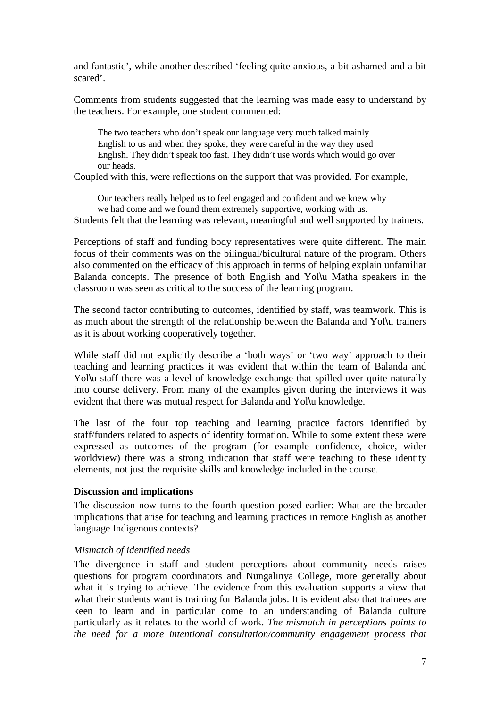and fantastic', while another described 'feeling quite anxious, a bit ashamed and a bit scared'.

Comments from students suggested that the learning was made easy to understand by the teachers. For example, one student commented:

The two teachers who don't speak our language very much talked mainly English to us and when they spoke, they were careful in the way they used English. They didn't speak too fast. They didn't use words which would go over our heads.

Coupled with this, were reflections on the support that was provided. For example,

Our teachers really helped us to feel engaged and confident and we knew why we had come and we found them extremely supportive, working with us.

Students felt that the learning was relevant, meaningful and well supported by trainers.

Perceptions of staff and funding body representatives were quite different. The main focus of their comments was on the bilingual/bicultural nature of the program. Others also commented on the efficacy of this approach in terms of helping explain unfamiliar Balanda concepts. The presence of both English and Yol\u Matha speakers in the classroom was seen as critical to the success of the learning program.

The second factor contributing to outcomes, identified by staff, was teamwork. This is as much about the strength of the relationship between the Balanda and Yol\u trainers as it is about working cooperatively together.

While staff did not explicitly describe a 'both ways' or 'two way' approach to their teaching and learning practices it was evident that within the team of Balanda and Yolly staff there was a level of knowledge exchange that spilled over quite naturally into course delivery. From many of the examples given during the interviews it was evident that there was mutual respect for Balanda and Yol\u knowledge.

The last of the four top teaching and learning practice factors identified by staff/funders related to aspects of identity formation. While to some extent these were expressed as outcomes of the program (for example confidence, choice, wider worldview) there was a strong indication that staff were teaching to these identity elements, not just the requisite skills and knowledge included in the course.

## **Discussion and implications**

The discussion now turns to the fourth question posed earlier: What are the broader implications that arise for teaching and learning practices in remote English as another language Indigenous contexts?

## *Mismatch of identified needs*

The divergence in staff and student perceptions about community needs raises questions for program coordinators and Nungalinya College, more generally about what it is trying to achieve. The evidence from this evaluation supports a view that what their students want is training for Balanda jobs. It is evident also that trainees are keen to learn and in particular come to an understanding of Balanda culture particularly as it relates to the world of work. *The mismatch in perceptions points to the need for a more intentional consultation/community engagement process that*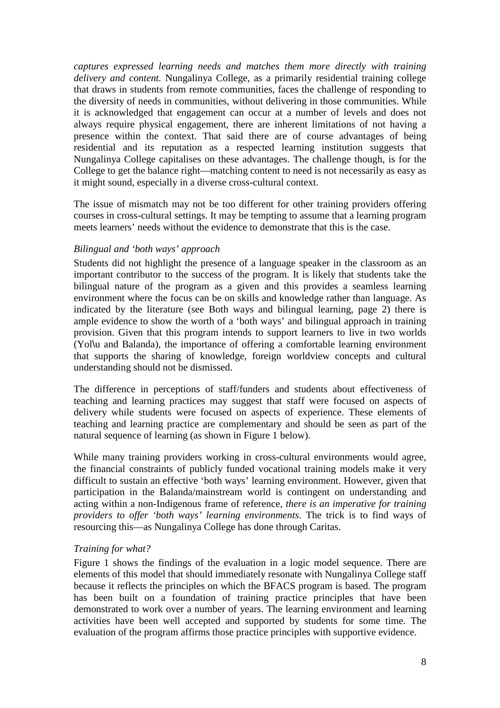*captures expressed learning needs and matches them more directly with training delivery and content.* Nungalinya College, as a primarily residential training college that draws in students from remote communities, faces the challenge of responding to the diversity of needs in communities, without delivering in those communities. While it is acknowledged that engagement can occur at a number of levels and does not always require physical engagement, there are inherent limitations of not having a presence within the context. That said there are of course advantages of being residential and its reputation as a respected learning institution suggests that Nungalinya College capitalises on these advantages. The challenge though, is for the College to get the balance right—matching content to need is not necessarily as easy as it might sound, especially in a diverse cross-cultural context.

The issue of mismatch may not be too different for other training providers offering courses in cross-cultural settings. It may be tempting to assume that a learning program meets learners' needs without the evidence to demonstrate that this is the case.

# *Bilingual and 'both ways' approach*

Students did not highlight the presence of a language speaker in the classroom as an important contributor to the success of the program. It is likely that students take the bilingual nature of the program as a given and this provides a seamless learning environment where the focus can be on skills and knowledge rather than language. As indicated by the literature (see Both ways and bilingual learning, page 2) there is ample evidence to show the worth of a 'both ways' and bilingual approach in training provision. Given that this program intends to support learners to live in two worlds (Yol\u and Balanda), the importance of offering a comfortable learning environment that supports the sharing of knowledge, foreign worldview concepts and cultural understanding should not be dismissed.

The difference in perceptions of staff/funders and students about effectiveness of teaching and learning practices may suggest that staff were focused on aspects of delivery while students were focused on aspects of experience. These elements of teaching and learning practice are complementary and should be seen as part of the natural sequence of learning (as shown in Figure 1 below).

While many training providers working in cross-cultural environments would agree, the financial constraints of publicly funded vocational training models make it very difficult to sustain an effective 'both ways' learning environment. However, given that participation in the Balanda/mainstream world is contingent on understanding and acting within a non-Indigenous frame of reference*, there is an imperative for training providers to offer 'both ways' learning environments*. The trick is to find ways of resourcing this—as Nungalinya College has done through Caritas.

## *Training for what?*

Figure 1 shows the findings of the evaluation in a logic model sequence. There are elements of this model that should immediately resonate with Nungalinya College staff because it reflects the principles on which the BFACS program is based. The program has been built on a foundation of training practice principles that have been demonstrated to work over a number of years. The learning environment and learning activities have been well accepted and supported by students for some time. The evaluation of the program affirms those practice principles with supportive evidence.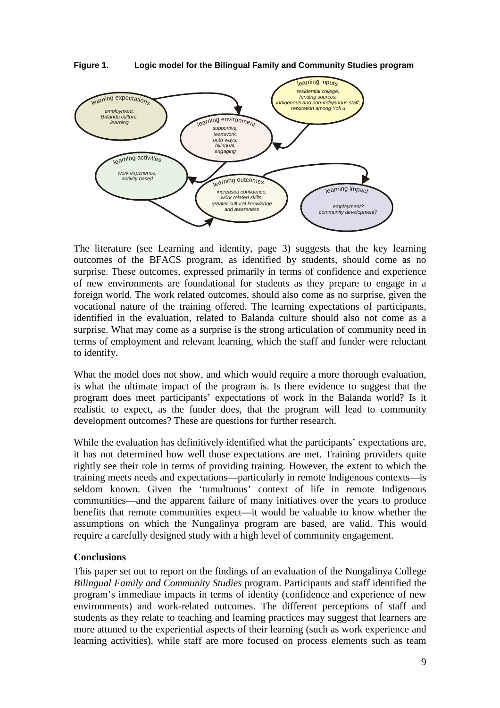

**Figure 1. Logic model for the Bilingual Family and Community Studies program** 

The literature (see Learning and identity, page 3) suggests that the key learning outcomes of the BFACS program, as identified by students, should come as no surprise. These outcomes, expressed primarily in terms of confidence and experience of new environments are foundational for students as they prepare to engage in a foreign world. The work related outcomes, should also come as no surprise, given the vocational nature of the training offered. The learning expectations of participants, identified in the evaluation, related to Balanda culture should also not come as a surprise. What may come as a surprise is the strong articulation of community need in terms of employment and relevant learning, which the staff and funder were reluctant to identify.

What the model does not show, and which would require a more thorough evaluation, is what the ultimate impact of the program is. Is there evidence to suggest that the program does meet participants' expectations of work in the Balanda world? Is it realistic to expect, as the funder does, that the program will lead to community development outcomes? These are questions for further research.

While the evaluation has definitively identified what the participants' expectations are, it has not determined how well those expectations are met. Training providers quite rightly see their role in terms of providing training. However, the extent to which the training meets needs and expectations—particularly in remote Indigenous contexts—is seldom known. Given the 'tumultuous' context of life in remote Indigenous communities—and the apparent failure of many initiatives over the years to produce benefits that remote communities expect—it would be valuable to know whether the assumptions on which the Nungalinya program are based, are valid. This would require a carefully designed study with a high level of community engagement.

# **Conclusions**

This paper set out to report on the findings of an evaluation of the Nungalinya College *Bilingual Family and Community Studies* program. Participants and staff identified the program's immediate impacts in terms of identity (confidence and experience of new environments) and work-related outcomes. The different perceptions of staff and students as they relate to teaching and learning practices may suggest that learners are more attuned to the experiential aspects of their learning (such as work experience and learning activities), while staff are more focused on process elements such as team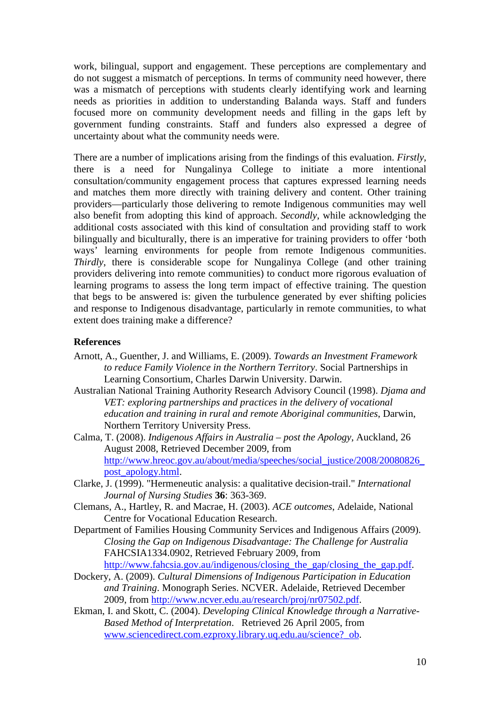work, bilingual, support and engagement. These perceptions are complementary and do not suggest a mismatch of perceptions. In terms of community need however, there was a mismatch of perceptions with students clearly identifying work and learning needs as priorities in addition to understanding Balanda ways. Staff and funders focused more on community development needs and filling in the gaps left by government funding constraints. Staff and funders also expressed a degree of uncertainty about what the community needs were.

There are a number of implications arising from the findings of this evaluation. *Firstly*, there is a need for Nungalinya College to initiate a more intentional consultation/community engagement process that captures expressed learning needs and matches them more directly with training delivery and content. Other training providers—particularly those delivering to remote Indigenous communities may well also benefit from adopting this kind of approach. *Secondly*, while acknowledging the additional costs associated with this kind of consultation and providing staff to work bilingually and biculturally, there is an imperative for training providers to offer 'both ways' learning environments for people from remote Indigenous communities. *Thirdly*, there is considerable scope for Nungalinya College (and other training providers delivering into remote communities) to conduct more rigorous evaluation of learning programs to assess the long term impact of effective training. The question that begs to be answered is: given the turbulence generated by ever shifting policies and response to Indigenous disadvantage, particularly in remote communities, to what extent does training make a difference?

# **References**

- Arnott, A., Guenther, J. and Williams, E. (2009). *Towards an Investment Framework to reduce Family Violence in the Northern Territory*. Social Partnerships in Learning Consortium, Charles Darwin University. Darwin.
- Australian National Training Authority Research Advisory Council (1998). *Djama and VET: exploring partnerships and practices in the delivery of vocational education and training in rural and remote Aboriginal communities*, Darwin, Northern Territory University Press.
- Calma, T. (2008). *Indigenous Affairs in Australia post the Apology*, Auckland, 26 August 2008, Retrieved December 2009, from http://www.hreoc.gov.au/about/media/speeches/social\_justice/2008/20080826 post\_apology.html.
- Clarke, J. (1999). "Hermeneutic analysis: a qualitative decision-trail." *International Journal of Nursing Studies* **36**: 363-369.
- Clemans, A., Hartley, R. and Macrae, H. (2003). *ACE outcomes*, Adelaide, National Centre for Vocational Education Research.
- Department of Families Housing Community Services and Indigenous Affairs (2009). *Closing the Gap on Indigenous Disadvantage: The Challenge for Australia* FAHCSIA1334.0902, Retrieved February 2009, from http://www.fahcsia.gov.au/indigenous/closing\_the\_gap/closing\_the\_gap.pdf.
- Dockery, A. (2009). *Cultural Dimensions of Indigenous Participation in Education and Training*. Monograph Series. NCVER. Adelaide, Retrieved December 2009, from http://www.ncver.edu.au/research/proj/nr07502.pdf.
- Ekman, I. and Skott, C. (2004). *Developing Clinical Knowledge through a Narrative-Based Method of Interpretation*. Retrieved 26 April 2005, from www.sciencedirect.com.ezproxy.library.uq.edu.au/science?\_ob.